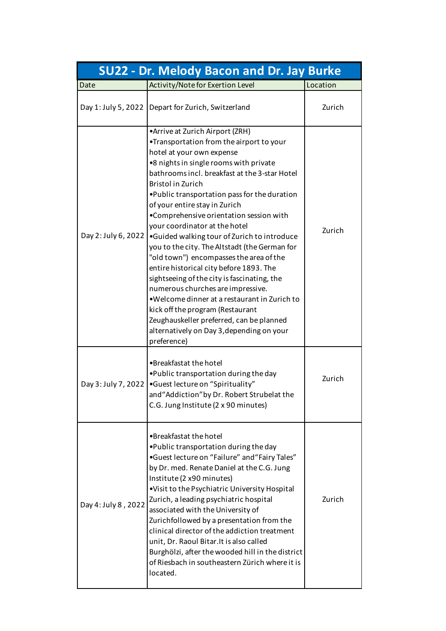|                     | <b>SU22 - Dr. Melody Bacon and Dr. Jay Burke</b>                                                                                                                                                                                                                                                                                                                                                                                                                                                                                                                                                                                                                                                                                                                                                                                                             |          |
|---------------------|--------------------------------------------------------------------------------------------------------------------------------------------------------------------------------------------------------------------------------------------------------------------------------------------------------------------------------------------------------------------------------------------------------------------------------------------------------------------------------------------------------------------------------------------------------------------------------------------------------------------------------------------------------------------------------------------------------------------------------------------------------------------------------------------------------------------------------------------------------------|----------|
| Date                | Activity/Note for Exertion Level                                                                                                                                                                                                                                                                                                                                                                                                                                                                                                                                                                                                                                                                                                                                                                                                                             | Location |
| Day 1: July 5, 2022 | Depart for Zurich, Switzerland                                                                                                                                                                                                                                                                                                                                                                                                                                                                                                                                                                                                                                                                                                                                                                                                                               | Zurich   |
| Day 2: July 6, 2022 | •Arrive at Zurich Airport (ZRH)<br>•Transportation from the airport to your<br>hotel at your own expense<br>•8 nights in single rooms with private<br>bathrooms incl. breakfast at the 3-star Hotel<br>Bristol in Zurich<br>. Public transportation pass for the duration<br>of your entire stay in Zurich<br>•Comprehensive orientation session with<br>your coordinator at the hotel<br>•Guided walking tour of Zurich to introduce<br>you to the city. The Altstadt (the German for<br>"old town") encompasses the area of the<br>entire historical city before 1893. The<br>sightseeing of the city is fascinating, the<br>numerous churches are impressive.<br>•Welcome dinner at a restaurant in Zurich to<br>kick off the program (Restaurant<br>Zeughauskeller preferred, can be planned<br>alternatively on Day 3, depending on your<br>preference) | Zurich   |
| Day 3: July 7, 2022 | •Breakfastat the hotel<br>.Public transportation during the day<br>•Guest lecture on "Spirituality"<br>and "Addiction" by Dr. Robert Strubelat the<br>C.G. Jung Institute (2 x 90 minutes)                                                                                                                                                                                                                                                                                                                                                                                                                                                                                                                                                                                                                                                                   | Zurich   |
| Day 4: July 8, 2022 | •Breakfastat the hotel<br>.Public transportation during the day<br>•Guest lecture on "Failure" and "Fairy Tales"<br>by Dr. med. Renate Daniel at the C.G. Jung<br>Institute (2 x90 minutes)<br>.Visit to the Psychiatric University Hospital<br>Zurich, a leading psychiatric hospital<br>associated with the University of<br>Zurichfollowed by a presentation from the<br>clinical director of the addiction treatment<br>unit, Dr. Raoul Bitar. It is also called<br>Burghölzi, after the wooded hill in the district<br>of Riesbach in southeastern Zürich where it is<br>located.                                                                                                                                                                                                                                                                       | Zurich   |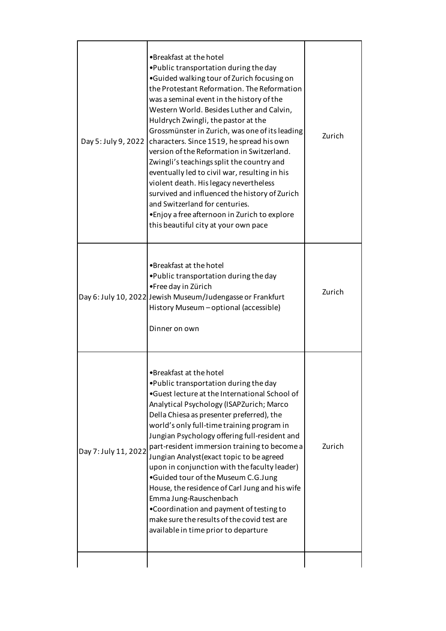| •Guided walking tour of Zurich focusing on<br>the Protestant Reformation. The Reformation<br>was a seminal event in the history of the<br>Western World. Besides Luther and Calvin,<br>Huldrych Zwingli, the pastor at the<br>Grossmünster in Zurich, was one of its leading<br>Day 5: July 9, 2022<br>characters. Since 1519, he spread his own<br>version of the Reformation in Switzerland.<br>Zwingli's teachings split the country and<br>eventually led to civil war, resulting in his<br>violent death. His legacy nevertheless<br>survived and influenced the history of Zurich<br>and Switzerland for centuries.<br>• Enjoy a free afternoon in Zurich to explore<br>this beautiful city at your own pace                   | Zurich |
|--------------------------------------------------------------------------------------------------------------------------------------------------------------------------------------------------------------------------------------------------------------------------------------------------------------------------------------------------------------------------------------------------------------------------------------------------------------------------------------------------------------------------------------------------------------------------------------------------------------------------------------------------------------------------------------------------------------------------------------|--------|
| •Breakfast at the hotel<br>.Public transportation during the day<br>•Free day in Zürich<br>Day 6: July 10, 2022 Jewish Museum/Judengasse or Frankfurt<br>History Museum - optional (accessible)<br>Dinner on own                                                                                                                                                                                                                                                                                                                                                                                                                                                                                                                     | Zurich |
| •Breakfast at the hotel<br>. Public transportation during the day<br>•Guest lecture at the International School of<br>Analytical Psychology (ISAPZurich; Marco<br>Della Chiesa as presenter preferred), the<br>world's only full-time training program in<br>Jungian Psychology offering full-resident and<br>part-resident immersion training to become a<br>Day 7: July 11, 2022<br>Jungian Analyst (exact topic to be agreed<br>upon in conjunction with the faculty leader)<br>•Guided tour of the Museum C.G.Jung<br>House, the residence of Carl Jung and his wife<br>Emma Jung-Rauschenbach<br>.Coordination and payment of testing to<br>make sure the results of the covid test are<br>available in time prior to departure | Zurich |